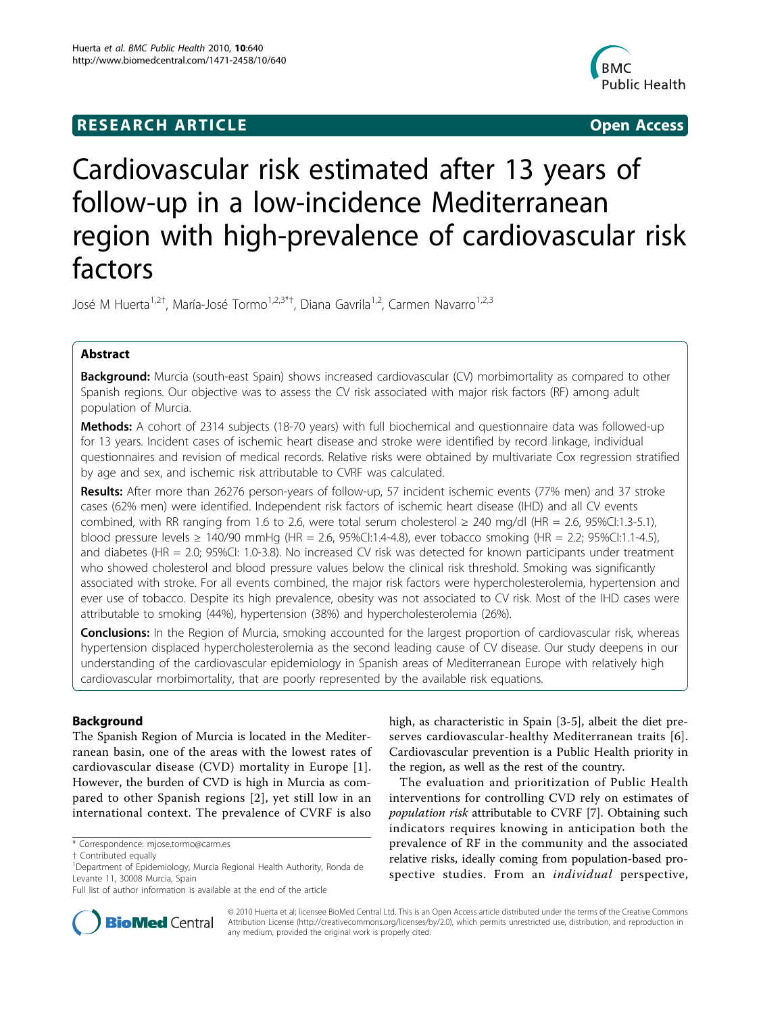## **RESEARCH ARTICLE Example 2018 12:00 Open Access**



# Cardiovascular risk estimated after 13 years of follow-up in a low-incidence Mediterranean region with high-prevalence of cardiovascular risk factors

José M Huerta<sup>1,2†</sup>, María-José Tormo<sup>1,2,3\*†</sup>, Diana Gavrila<sup>1,2</sup>, Carmen Navarro<sup>1,2,3</sup>

## Abstract

Background: Murcia (south-east Spain) shows increased cardiovascular (CV) morbimortality as compared to other Spanish regions. Our objective was to assess the CV risk associated with major risk factors (RF) among adult population of Murcia.

Methods: A cohort of 2314 subjects (18-70 years) with full biochemical and questionnaire data was followed-up for 13 years. Incident cases of ischemic heart disease and stroke were identified by record linkage, individual questionnaires and revision of medical records. Relative risks were obtained by multivariate Cox regression stratified by age and sex, and ischemic risk attributable to CVRF was calculated.

Results: After more than 26276 person-years of follow-up, 57 incident ischemic events (77% men) and 37 stroke cases (62% men) were identified. Independent risk factors of ischemic heart disease (IHD) and all CV events combined, with RR ranging from 1.6 to 2.6, were total serum cholesterol  $\geq$  240 mg/dl (HR = 2.6, 95%Cl:1.3-5.1), blood pressure levels ≥ 140/90 mmHg (HR = 2.6, 95%CI:1.4-4.8), ever tobacco smoking (HR = 2.2; 95%CI:1.1-4.5), and diabetes (HR = 2.0; 95%CI: 1.0-3.8). No increased CV risk was detected for known participants under treatment who showed cholesterol and blood pressure values below the clinical risk threshold. Smoking was significantly associated with stroke. For all events combined, the major risk factors were hypercholesterolemia, hypertension and ever use of tobacco. Despite its high prevalence, obesity was not associated to CV risk. Most of the IHD cases were attributable to smoking (44%), hypertension (38%) and hypercholesterolemia (26%).

Conclusions: In the Region of Murcia, smoking accounted for the largest proportion of cardiovascular risk, whereas hypertension displaced hypercholesterolemia as the second leading cause of CV disease. Our study deepens in our understanding of the cardiovascular epidemiology in Spanish areas of Mediterranean Europe with relatively high cardiovascular morbimortality, that are poorly represented by the available risk equations.

## Background

The Spanish Region of Murcia is located in the Mediterranean basin, one of the areas with the lowest rates of cardiovascular disease (CVD) mortality in Europe [[1\]](#page-8-0). However, the burden of CVD is high in Murcia as compared to other Spanish regions [[2](#page-8-0)], yet still low in an international context. The prevalence of CVRF is also

\* Correspondence: [mjose.tormo@carm.es](mailto:mjose.tormo@carm.es)

high, as characteristic in Spain [[3-5](#page-8-0)], albeit the diet preserves cardiovascular-healthy Mediterranean traits [[6](#page-8-0)]. Cardiovascular prevention is a Public Health priority in the region, as well as the rest of the country.

The evaluation and prioritization of Public Health interventions for controlling CVD rely on estimates of population risk attributable to CVRF [\[7](#page-8-0)]. Obtaining such indicators requires knowing in anticipation both the prevalence of RF in the community and the associated relative risks, ideally coming from population-based prospective studies. From an *individual* perspective,



© 2010 Huerta et al; licensee BioMed Central Ltd. This is an Open Access article distributed under the terms of the Creative Commons Attribution License [\(http://creativecommons.org/licenses/by/2.0](http://creativecommons.org/licenses/by/2.0)), which permits unrestricted use, distribution, and reproduction in any medium, provided the original work is properly cited.

<sup>†</sup> Contributed equally <sup>1</sup>

<sup>&</sup>lt;sup>1</sup>Department of Epidemiology, Murcia Regional Health Authority, Ronda de Levante 11, 30008 Murcia, Spain

Full list of author information is available at the end of the article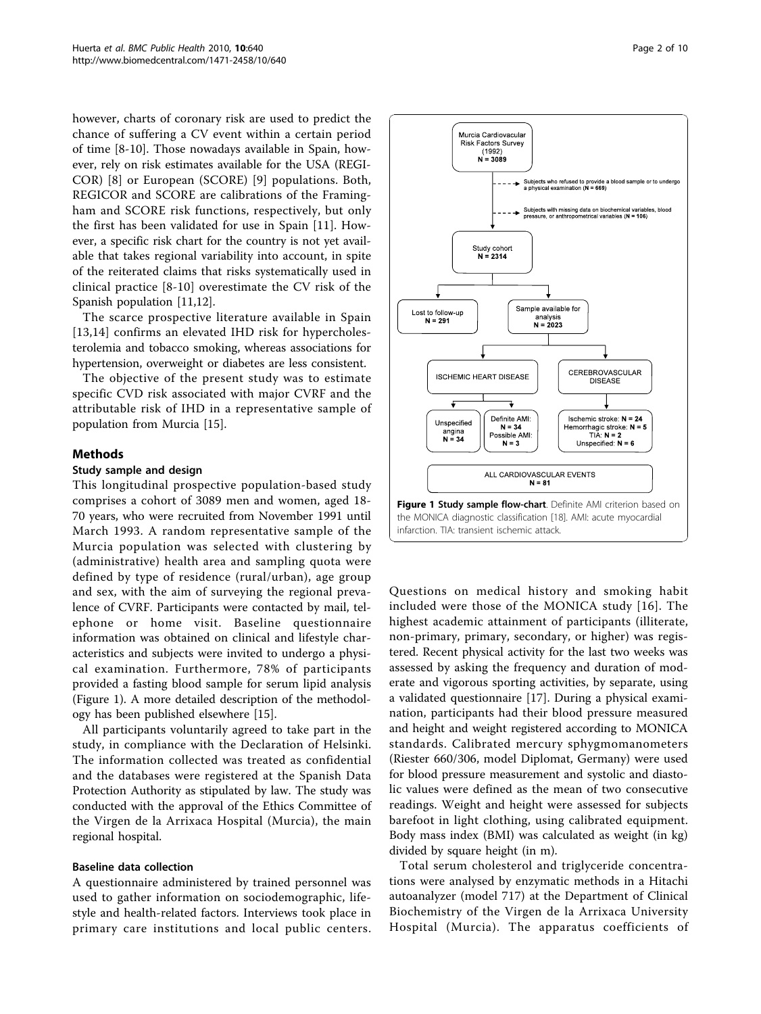<span id="page-1-0"></span>however, charts of coronary risk are used to predict the chance of suffering a CV event within a certain period of time [[8-10](#page-8-0)]. Those nowadays available in Spain, however, rely on risk estimates available for the USA (REGI-COR) [[8\]](#page-8-0) or European (SCORE) [[9](#page-8-0)] populations. Both, REGICOR and SCORE are calibrations of the Framingham and SCORE risk functions, respectively, but only the first has been validated for use in Spain [\[11](#page-8-0)]. However, a specific risk chart for the country is not yet available that takes regional variability into account, in spite of the reiterated claims that risks systematically used in clinical practice [\[8](#page-8-0)-[10](#page-8-0)] overestimate the CV risk of the Spanish population [[11](#page-8-0),[12](#page-8-0)].

The scarce prospective literature available in Spain [[13,14](#page-8-0)] confirms an elevated IHD risk for hypercholesterolemia and tobacco smoking, whereas associations for hypertension, overweight or diabetes are less consistent.

The objective of the present study was to estimate specific CVD risk associated with major CVRF and the attributable risk of IHD in a representative sample of population from Murcia [\[15](#page-8-0)].

## Methods

#### Study sample and design

This longitudinal prospective population-based study comprises a cohort of 3089 men and women, aged 18- 70 years, who were recruited from November 1991 until March 1993. A random representative sample of the Murcia population was selected with clustering by (administrative) health area and sampling quota were defined by type of residence (rural/urban), age group and sex, with the aim of surveying the regional prevalence of CVRF. Participants were contacted by mail, telephone or home visit. Baseline questionnaire information was obtained on clinical and lifestyle characteristics and subjects were invited to undergo a physical examination. Furthermore, 78% of participants provided a fasting blood sample for serum lipid analysis (Figure 1). A more detailed description of the methodology has been published elsewhere [[15](#page-8-0)].

All participants voluntarily agreed to take part in the study, in compliance with the Declaration of Helsinki. The information collected was treated as confidential and the databases were registered at the Spanish Data Protection Authority as stipulated by law. The study was conducted with the approval of the Ethics Committee of the Virgen de la Arrixaca Hospital (Murcia), the main regional hospital.

## Baseline data collection

A questionnaire administered by trained personnel was used to gather information on sociodemographic, lifestyle and health-related factors. Interviews took place in primary care institutions and local public centers.



Questions on medical history and smoking habit included were those of the MONICA study [[16](#page-8-0)]. The highest academic attainment of participants (illiterate, non-primary, primary, secondary, or higher) was registered. Recent physical activity for the last two weeks was assessed by asking the frequency and duration of moderate and vigorous sporting activities, by separate, using a validated questionnaire [\[17](#page-8-0)]. During a physical examination, participants had their blood pressure measured and height and weight registered according to MONICA standards. Calibrated mercury sphygmomanometers (Riester 660/306, model Diplomat, Germany) were used for blood pressure measurement and systolic and diastolic values were defined as the mean of two consecutive readings. Weight and height were assessed for subjects barefoot in light clothing, using calibrated equipment. Body mass index (BMI) was calculated as weight (in kg) divided by square height (in m).

Total serum cholesterol and triglyceride concentrations were analysed by enzymatic methods in a Hitachi autoanalyzer (model 717) at the Department of Clinical Biochemistry of the Virgen de la Arrixaca University Hospital (Murcia). The apparatus coefficients of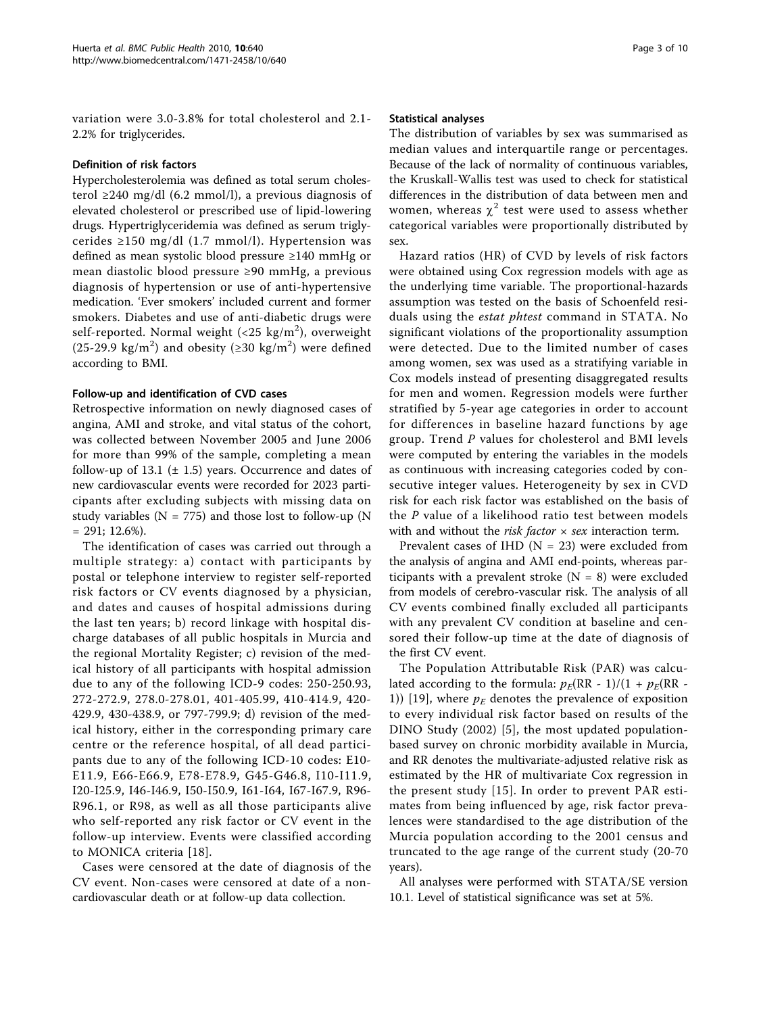variation were 3.0-3.8% for total cholesterol and 2.1- 2.2% for triglycerides.

#### Definition of risk factors

Hypercholesterolemia was defined as total serum cholesterol ≥240 mg/dl (6.2 mmol/l), a previous diagnosis of elevated cholesterol or prescribed use of lipid-lowering drugs. Hypertriglyceridemia was defined as serum triglycerides  $\geq$ 150 mg/dl (1.7 mmol/l). Hypertension was defined as mean systolic blood pressure ≥140 mmHg or mean diastolic blood pressure ≥90 mmHg, a previous diagnosis of hypertension or use of anti-hypertensive medication. 'Ever smokers' included current and former smokers. Diabetes and use of anti-diabetic drugs were self-reported. Normal weight (<25 kg/m $^2$ ), overweight (25-29.9 kg/m<sup>2</sup>) and obesity (≥30 kg/m<sup>2</sup>) were defined according to BMI.

#### Follow-up and identification of CVD cases

Retrospective information on newly diagnosed cases of angina, AMI and stroke, and vital status of the cohort, was collected between November 2005 and June 2006 for more than 99% of the sample, completing a mean follow-up of 13.1  $(\pm 1.5)$  years. Occurrence and dates of new cardiovascular events were recorded for 2023 participants after excluding subjects with missing data on study variables ( $N = 775$ ) and those lost to follow-up ( $N$  $= 291; 12.6\%).$ 

The identification of cases was carried out through a multiple strategy: a) contact with participants by postal or telephone interview to register self-reported risk factors or CV events diagnosed by a physician, and dates and causes of hospital admissions during the last ten years; b) record linkage with hospital discharge databases of all public hospitals in Murcia and the regional Mortality Register; c) revision of the medical history of all participants with hospital admission due to any of the following ICD-9 codes: 250-250.93, 272-272.9, 278.0-278.01, 401-405.99, 410-414.9, 420- 429.9, 430-438.9, or 797-799.9; d) revision of the medical history, either in the corresponding primary care centre or the reference hospital, of all dead participants due to any of the following ICD-10 codes: E10- E11.9, E66-E66.9, E78-E78.9, G45-G46.8, I10-I11.9, I20-I25.9, I46-I46.9, I50-I50.9, I61-I64, I67-I67.9, R96- R96.1, or R98, as well as all those participants alive who self-reported any risk factor or CV event in the follow-up interview. Events were classified according to MONICA criteria [\[18](#page-8-0)].

Cases were censored at the date of diagnosis of the CV event. Non-cases were censored at date of a noncardiovascular death or at follow-up data collection.

#### Statistical analyses

The distribution of variables by sex was summarised as median values and interquartile range or percentages. Because of the lack of normality of continuous variables, the Kruskall-Wallis test was used to check for statistical differences in the distribution of data between men and women, whereas  $\chi^2$  test were used to assess whether categorical variables were proportionally distributed by sex.

Hazard ratios (HR) of CVD by levels of risk factors were obtained using Cox regression models with age as the underlying time variable. The proportional-hazards assumption was tested on the basis of Schoenfeld residuals using the estat phtest command in STATA. No significant violations of the proportionality assumption were detected. Due to the limited number of cases among women, sex was used as a stratifying variable in Cox models instead of presenting disaggregated results for men and women. Regression models were further stratified by 5-year age categories in order to account for differences in baseline hazard functions by age group. Trend P values for cholesterol and BMI levels were computed by entering the variables in the models as continuous with increasing categories coded by consecutive integer values. Heterogeneity by sex in CVD risk for each risk factor was established on the basis of the P value of a likelihood ratio test between models with and without the *risk factor*  $\times$  *sex* interaction term.

Prevalent cases of IHD ( $N = 23$ ) were excluded from the analysis of angina and AMI end-points, whereas participants with a prevalent stroke  $(N = 8)$  were excluded from models of cerebro-vascular risk. The analysis of all CV events combined finally excluded all participants with any prevalent CV condition at baseline and censored their follow-up time at the date of diagnosis of the first CV event.

The Population Attributable Risk (PAR) was calculated according to the formula:  $p_E(RR - 1)/(1 + p_E(RR - 1))$ 1)) [[19](#page-8-0)], where  $p_E$  denotes the prevalence of exposition to every individual risk factor based on results of the DINO Study (2002) [[5\]](#page-8-0), the most updated populationbased survey on chronic morbidity available in Murcia, and RR denotes the multivariate-adjusted relative risk as estimated by the HR of multivariate Cox regression in the present study [[15\]](#page-8-0). In order to prevent PAR estimates from being influenced by age, risk factor prevalences were standardised to the age distribution of the Murcia population according to the 2001 census and truncated to the age range of the current study (20-70 years).

All analyses were performed with STATA/SE version 10.1. Level of statistical significance was set at 5%.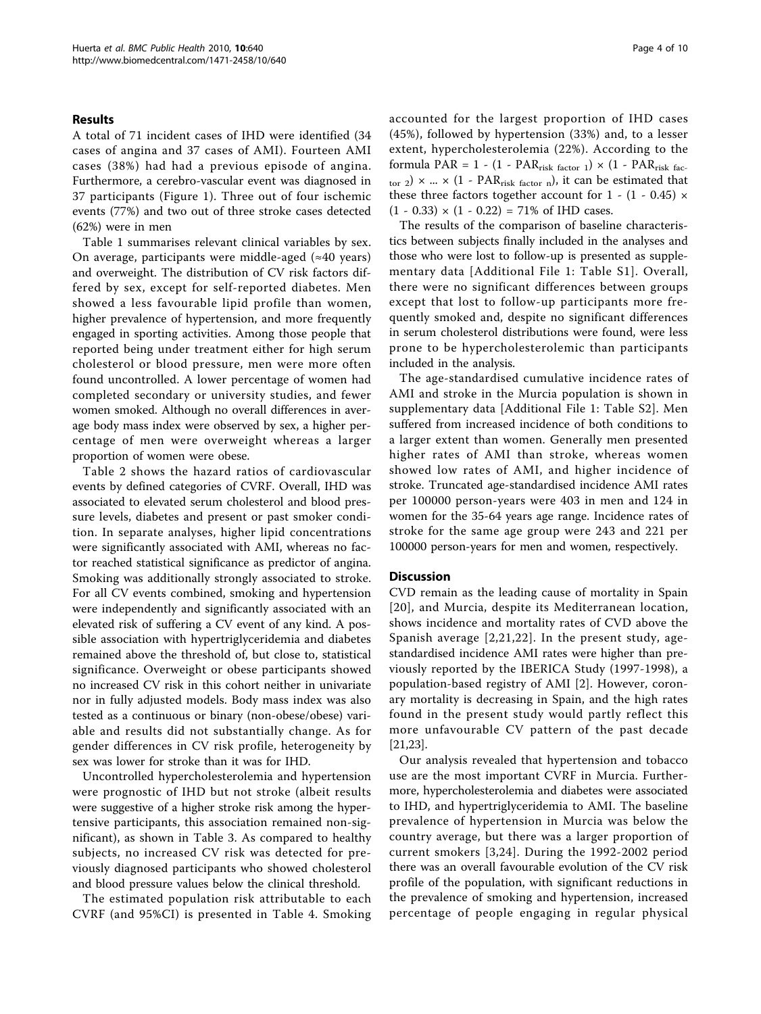#### Results

A total of 71 incident cases of IHD were identified (34 cases of angina and 37 cases of AMI). Fourteen AMI cases (38%) had had a previous episode of angina. Furthermore, a cerebro-vascular event was diagnosed in 37 participants (Figure [1\)](#page-1-0). Three out of four ischemic events (77%) and two out of three stroke cases detected (62%) were in men

Table [1](#page-4-0) summarises relevant clinical variables by sex. On average, participants were middle-aged (≈40 years) and overweight. The distribution of CV risk factors differed by sex, except for self-reported diabetes. Men showed a less favourable lipid profile than women, higher prevalence of hypertension, and more frequently engaged in sporting activities. Among those people that reported being under treatment either for high serum cholesterol or blood pressure, men were more often found uncontrolled. A lower percentage of women had completed secondary or university studies, and fewer women smoked. Although no overall differences in average body mass index were observed by sex, a higher percentage of men were overweight whereas a larger proportion of women were obese.

Table [2](#page-5-0) shows the hazard ratios of cardiovascular events by defined categories of CVRF. Overall, IHD was associated to elevated serum cholesterol and blood pressure levels, diabetes and present or past smoker condition. In separate analyses, higher lipid concentrations were significantly associated with AMI, whereas no factor reached statistical significance as predictor of angina. Smoking was additionally strongly associated to stroke. For all CV events combined, smoking and hypertension were independently and significantly associated with an elevated risk of suffering a CV event of any kind. A possible association with hypertriglyceridemia and diabetes remained above the threshold of, but close to, statistical significance. Overweight or obese participants showed no increased CV risk in this cohort neither in univariate nor in fully adjusted models. Body mass index was also tested as a continuous or binary (non-obese/obese) variable and results did not substantially change. As for gender differences in CV risk profile, heterogeneity by sex was lower for stroke than it was for IHD.

Uncontrolled hypercholesterolemia and hypertension were prognostic of IHD but not stroke (albeit results were suggestive of a higher stroke risk among the hypertensive participants, this association remained non-significant), as shown in Table [3](#page-6-0). As compared to healthy subjects, no increased CV risk was detected for previously diagnosed participants who showed cholesterol and blood pressure values below the clinical threshold.

The estimated population risk attributable to each CVRF (and 95%CI) is presented in Table [4.](#page-6-0) Smoking accounted for the largest proportion of IHD cases (45%), followed by hypertension (33%) and, to a lesser extent, hypercholesterolemia (22%). According to the formula PAR =  $1 - (1 - PAR_{risk factor 1}) \times (1 - PAR_{risk factor})$  $_{\text{tor 2}}$   $\times$  ...  $\times$  (1 - PAR<sub>risk factor n</sub>), it can be estimated that these three factors together account for  $1 - (1 - 0.45) \times$  $(1 - 0.33) \times (1 - 0.22) = 71\% \text{ of HID cases.}$ 

The results of the comparison of baseline characteristics between subjects finally included in the analyses and those who were lost to follow-up is presented as supplementary data [Additional File [1:](#page-8-0) Table S1]. Overall, there were no significant differences between groups except that lost to follow-up participants more frequently smoked and, despite no significant differences in serum cholesterol distributions were found, were less prone to be hypercholesterolemic than participants included in the analysis.

The age-standardised cumulative incidence rates of AMI and stroke in the Murcia population is shown in supplementary data [Additional File [1:](#page-8-0) Table S2]. Men suffered from increased incidence of both conditions to a larger extent than women. Generally men presented higher rates of AMI than stroke, whereas women showed low rates of AMI, and higher incidence of stroke. Truncated age-standardised incidence AMI rates per 100000 person-years were 403 in men and 124 in women for the 35-64 years age range. Incidence rates of stroke for the same age group were 243 and 221 per 100000 person-years for men and women, respectively.

#### **Discussion**

CVD remain as the leading cause of mortality in Spain [[20\]](#page-8-0), and Murcia, despite its Mediterranean location, shows incidence and mortality rates of CVD above the Spanish average [[2,21,22\]](#page-8-0). In the present study, agestandardised incidence AMI rates were higher than previously reported by the IBERICA Study (1997-1998), a population-based registry of AMI [[2\]](#page-8-0). However, coronary mortality is decreasing in Spain, and the high rates found in the present study would partly reflect this more unfavourable CV pattern of the past decade [[21,23\]](#page-8-0).

Our analysis revealed that hypertension and tobacco use are the most important CVRF in Murcia. Furthermore, hypercholesterolemia and diabetes were associated to IHD, and hypertriglyceridemia to AMI. The baseline prevalence of hypertension in Murcia was below the country average, but there was a larger proportion of current smokers [[3](#page-8-0),[24](#page-8-0)]. During the 1992-2002 period there was an overall favourable evolution of the CV risk profile of the population, with significant reductions in the prevalence of smoking and hypertension, increased percentage of people engaging in regular physical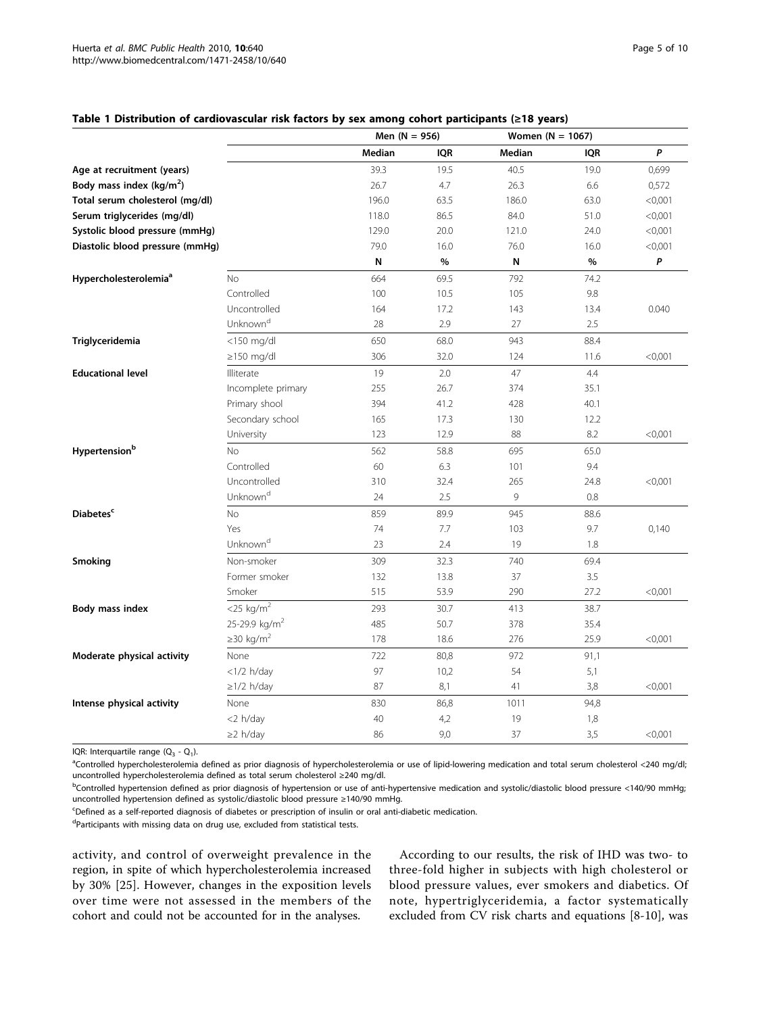#### <span id="page-4-0"></span>Table 1 Distribution of cardiovascular risk factors by sex among cohort participants (≥18 years)

|                                   |                             |        | Men $(N = 956)$ |        | Women ( $N = 1067$ ) |           |
|-----------------------------------|-----------------------------|--------|-----------------|--------|----------------------|-----------|
|                                   |                             | Median | iQR             | Median | IQR                  | P         |
| Age at recruitment (years)        |                             | 39.3   | 19.5            | 40.5   | 19.0                 | 0,699     |
| Body mass index $(kg/m^2)$        |                             | 26.7   | 4.7             | 26.3   | 6.6                  | 0,572     |
| Total serum cholesterol (mg/dl)   |                             | 196.0  | 63.5            | 186.0  | 63.0                 | < 0,001   |
| Serum triglycerides (mg/dl)       |                             | 118.0  | 86.5            | 84.0   | 51.0                 | $<$ 0,001 |
| Systolic blood pressure (mmHg)    |                             | 129.0  | 20.0            | 121.0  | 24.0                 | < 0,001   |
| Diastolic blood pressure (mmHg)   |                             | 79.0   | 16.0            | 76.0   | 16.0                 | $<$ 0,001 |
|                                   |                             | N      | %               | N      | %                    | P         |
| Hypercholesterolemia <sup>a</sup> | No                          | 664    | 69.5            | 792    | 74.2                 |           |
|                                   | Controlled                  | 100    | 10.5            | 105    | 9.8                  |           |
|                                   | Uncontrolled                | 164    | 17.2            | 143    | 13.4                 | 0.040     |
|                                   | Unknown <sup>d</sup>        | 28     | 2.9             | 27     | 2.5                  |           |
| Triglyceridemia                   | <150 mg/dl                  | 650    | 68.0            | 943    | 88.4                 |           |
|                                   | $\geq$ 150 mg/dl            | 306    | 32.0            | 124    | 11.6                 | < 0,001   |
| <b>Educational level</b>          | Illiterate                  | 19     | 2.0             | 47     | 4.4                  |           |
|                                   | Incomplete primary          | 255    | 26.7            | 374    | 35.1                 |           |
|                                   | Primary shool               | 394    | 41.2            | 428    | 40.1                 |           |
|                                   | Secondary school            | 165    | 17.3            | 130    | 12.2                 |           |
|                                   | University                  | 123    | 12.9            | 88     | 8.2                  | < 0,001   |
| Hypertension <sup>b</sup>         | No                          | 562    | 58.8            | 695    | 65.0                 |           |
|                                   | Controlled                  | 60     | 6.3             | 101    | 9.4                  |           |
|                                   | Uncontrolled                | 310    | 32.4            | 265    | 24.8                 | $<$ 0,001 |
|                                   | Unknown <sup>d</sup>        | 24     | 2.5             | 9      | 0.8                  |           |
| Diabetes <sup>c</sup>             | No                          | 859    | 89.9            | 945    | 88.6                 |           |
|                                   | Yes                         | 74     | 7.7             | 103    | 9.7                  | 0,140     |
|                                   | Unknown <sup>d</sup>        | 23     | 2.4             | 19     | 1.8                  |           |
| Smoking                           | Non-smoker                  | 309    | 32.3            | 740    | 69.4                 |           |
|                                   | Former smoker               | 132    | 13.8            | 37     | 3.5                  |           |
|                                   | Smoker                      | 515    | 53.9            | 290    | 27.2                 | < 0,001   |
| Body mass index                   | $<$ 25 kg/m <sup>2</sup>    | 293    | 30.7            | 413    | 38.7                 |           |
|                                   | 25-29.9 kg/m <sup>2</sup>   | 485    | 50.7            | 378    | 35.4                 |           |
|                                   | $\geq$ 30 kg/m <sup>2</sup> | 178    | 18.6            | 276    | 25.9                 | < 0.001   |
| Moderate physical activity        | None                        | 722    | 80,8            | 972    | 91,1                 |           |
|                                   | $<1/2$ h/day                | 97     | 10,2            | 54     | 5,1                  |           |
|                                   | $\geq$ 1/2 h/day            | 87     | 8,1             | 41     | 3,8                  | $<$ 0,001 |
| Intense physical activity         | None                        | 830    | 86,8            | 1011   | 94,8                 |           |
|                                   | <2 h/day                    | 40     | 4,2             | 19     | 1,8                  |           |
|                                   | $\geq$ 2 h/day              | 86     | 9,0             | 37     | 3,5                  | $<$ 0,001 |

IQR: Interquartile range  $(Q_3 - Q_1)$ .

<sup>a</sup>Controlled hypercholesterolemia defined as prior diagnosis of hypercholesterolemia or use of lipid-lowering medication and total serum cholesterol <240 mg/dl; uncontrolled hypercholesterolemia defined as total serum cholesterol ≥240 mg/dl.

bControlled hypertension defined as prior diagnosis of hypertension or use of anti-hypertensive medication and systolic/diastolic blood pressure <140/90 mmHg; uncontrolled hypertension defined as systolic/diastolic blood pressure ≥140/90 mmHg.

c Defined as a self-reported diagnosis of diabetes or prescription of insulin or oral anti-diabetic medication.

<sup>d</sup>Participants with missing data on drug use, excluded from statistical tests.

activity, and control of overweight prevalence in the region, in spite of which hypercholesterolemia increased by 30% [[25\]](#page-8-0). However, changes in the exposition levels over time were not assessed in the members of the cohort and could not be accounted for in the analyses.

According to our results, the risk of IHD was two- to three-fold higher in subjects with high cholesterol or blood pressure values, ever smokers and diabetics. Of note, hypertriglyceridemia, a factor systematically excluded from CV risk charts and equations [\[8](#page-8-0)-[10\]](#page-8-0), was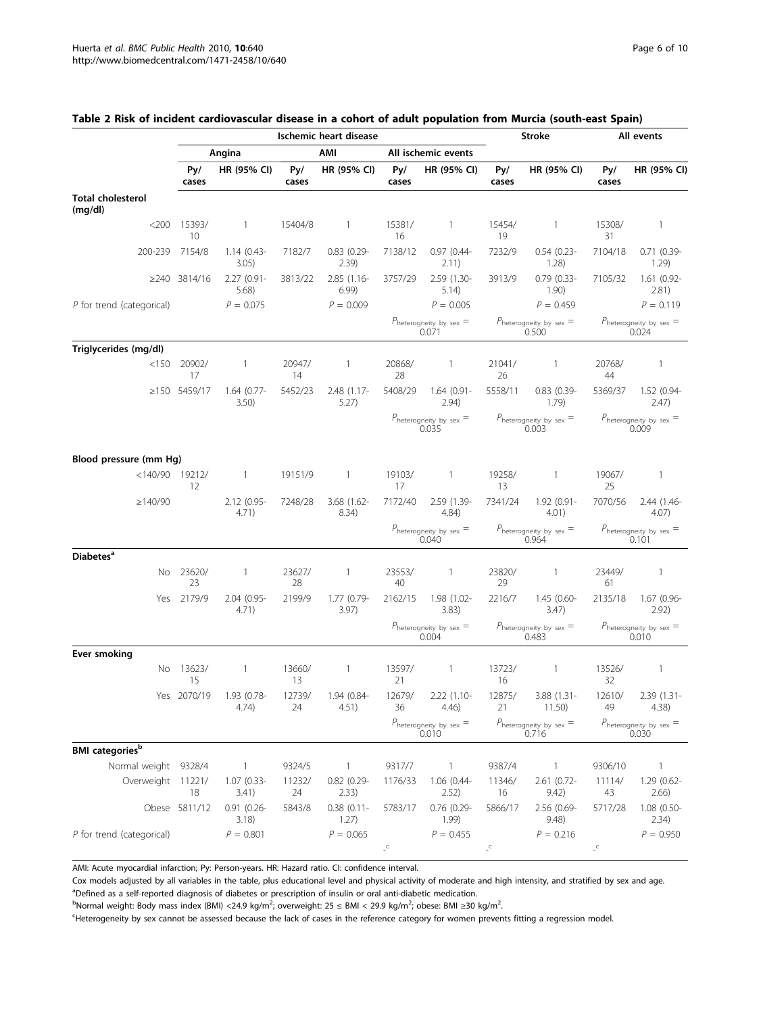|                                     |                 |                        |              | Ischemic heart disease |                                                                                              |                                              |                             | <b>Stroke</b>                                |              | All events                                   |
|-------------------------------------|-----------------|------------------------|--------------|------------------------|----------------------------------------------------------------------------------------------|----------------------------------------------|-----------------------------|----------------------------------------------|--------------|----------------------------------------------|
|                                     |                 | Angina                 |              | AMI                    |                                                                                              | All ischemic events                          |                             |                                              |              |                                              |
|                                     | Py/<br>cases    | HR (95% CI)            | Py/<br>cases | HR (95% CI)            | Py/<br>cases                                                                                 | HR (95% CI)                                  | Py/<br>cases                | HR (95% CI)                                  | Py/<br>cases | HR (95% CI)                                  |
| <b>Total cholesterol</b><br>(mg/dl) |                 |                        |              |                        |                                                                                              |                                              |                             |                                              |              |                                              |
| $<$ 200                             | 15393/<br>10    | $\overline{1}$         | 15404/8      | $\overline{1}$         | 15381/<br>16                                                                                 | 1                                            | 15454/<br>19                | $\overline{1}$                               | 15308/<br>31 | $\mathbf{1}$                                 |
| 200-239                             | 7154/8          | $1.14(0.43 -$<br>3.05) | 7182/7       | $0.83$ (0.29-<br>2.39) | 7138/12                                                                                      | $0.97(0.44 -$<br>2.11)                       | 7232/9                      | $0.54(0.23 -$<br>1.28)                       | 7104/18      | $0.71(0.39 -$<br>1.29)                       |
| $\geq$ 240                          | 3814/16         | 2.27 (0.91-<br>5.68)   | 3813/22      | 2.85 (1.16-<br>6.99    | 3757/29                                                                                      | 2.59 (1.30-<br>5.14)                         | 3913/9                      | $0.79$ $(0.33 -$<br>1.90)                    | 7105/32      | 1.61 (0.92-<br>2.81)                         |
| P for trend (categorical)           |                 | $P = 0.075$            |              | $P = 0.009$            |                                                                                              | $P = 0.005$                                  |                             | $P = 0.459$                                  |              | $P = 0.119$                                  |
|                                     |                 |                        |              |                        |                                                                                              | $P_{heterogeneity by sex} =$<br>0.071        |                             | $P_{\text{heterogeneity by sex}} =$<br>0.500 |              | $P_{\text{heterogeneity by sex}} =$<br>0.024 |
| Triglycerides (mg/dl)               |                 |                        |              |                        |                                                                                              |                                              |                             |                                              |              |                                              |
| < 150                               | 20902/<br>17    | -1                     | 20947/<br>14 | $\mathbf{1}$           | 20868/<br>28                                                                                 |                                              | 21041/<br>26                | 1                                            | 20768/<br>44 | $\mathbf{1}$                                 |
|                                     | ≥150 5459/17    | $1.64$ (0.77-<br>3.50) | 5452/23      | 2.48 (1.17-<br>5.27)   | 5408/29                                                                                      | $1.64(0.91 -$<br>2.94)                       | 5558/11                     | $0.83$ (0.39-<br>1.79)                       | 5369/37      | 1.52 (0.94-<br>2.47)                         |
|                                     |                 |                        |              |                        | $P_{\text{heterogeneity by sex}} =$<br>$P_{\text{heterogeneity by sex}} =$<br>0.035<br>0.003 |                                              |                             | $P_{\text{heterogeneity by sex}} =$<br>0.009 |              |                                              |
| Blood pressure (mm Hg)              |                 |                        |              |                        |                                                                                              |                                              |                             |                                              |              |                                              |
| $<$ 140/90 19212/                   | 12              | $\overline{1}$         | 19151/9      | $\mathbf{1}$           | 19103/<br>17                                                                                 | 1                                            | 19258/<br>13                | 1                                            | 19067/<br>25 | $\mathbf{1}$                                 |
| $\geq$ 140/90                       |                 | 2.12 (0.95-<br>4.71)   | 7248/28      | 3.68 (1.62-<br>8.34)   | 7172/40                                                                                      | 2.59 (1.39-<br>4.84)                         | 7341/24                     | 1.92 (0.91-<br>4.01)                         | 7070/56      | 2.44 (1.46-<br>4.07)                         |
|                                     |                 |                        |              |                        |                                                                                              | $P_{heterogeneity by sex} =$<br>0.040        |                             | $P_{heterogeneity by sex} =$<br>0.964        |              | $P_{\text{heterogeneity by sex}} =$<br>0.101 |
| <b>Diabetes<sup>a</sup></b>         |                 |                        |              |                        |                                                                                              |                                              |                             |                                              |              |                                              |
| No.                                 | 23620/<br>23    | $\mathbf{1}$           | 23627/<br>28 | $\mathbf{1}$           | 23553/<br>40                                                                                 | $\mathbf{1}$                                 | 23820/<br>29                | $\mathbf{1}$                                 | 23449/<br>61 | $\overline{1}$                               |
| Yes                                 | 2179/9          | 2.04 (0.95-<br>4.71)   | 2199/9       | 1.77 (0.79-<br>3.97)   | 2162/15                                                                                      | 1.98 (1.02-<br>3.83)                         | 2216/7                      | 1.45 (0.60-<br>3.47                          | 2135/18      | $1.67(0.96 -$<br>2.92)                       |
|                                     |                 |                        |              |                        |                                                                                              | $P_{\text{heterogeneity by sex}} =$<br>0.004 |                             | $P_{heterogeneity by sex} =$<br>0.483        |              | $P_{\text{heterogeneity by sex}} =$<br>0.010 |
| Ever smoking                        |                 |                        |              |                        |                                                                                              |                                              |                             |                                              |              |                                              |
|                                     | No 13623/<br>15 | -1                     | 13660/<br>13 | $\mathbf{1}$           | 13597/<br>21                                                                                 | 1                                            | 13723/<br>16                | 1                                            | 13526/<br>32 | $\mathbf{1}$                                 |
|                                     | Yes 2070/19     | 1.93 (0.78<br>4.74)    | 12739/<br>24 | 1.94 (0.84-<br>4.51)   | 12679/<br>36                                                                                 | $2.22(1.10 -$<br>4.46)                       | 12875/<br>21                | 3.88 (1.31-<br>11.50)                        | 12610/<br>49 | 2.39 (1.31-<br>4.38)                         |
|                                     |                 |                        |              |                        |                                                                                              | $P_{\text{heterogeneity by sex}} =$<br>0.010 |                             | $P_{heterogeneity by sex} =$<br>0.716        |              | $P_{heterogeneity by sex} =$<br>0.030        |
| <b>BMI</b> categories <sup>b</sup>  |                 |                        |              |                        |                                                                                              |                                              |                             |                                              |              |                                              |
| Normal weight 9328/4                |                 | -1                     | 9324/5       | $\mathbf{1}$           | 9317/7                                                                                       | 1                                            | 9387/4                      | $\mathbf{1}$                                 | 9306/10      | $\mathbf{1}$                                 |
| Overweight 11221/                   | 18              | $1.07(0.33 -$<br>3.41) | 11232/<br>24 | $0.82(0.29 -$<br>2.33) | 1176/33                                                                                      | 1.06 (0.44-<br>2.52)                         | 11346/<br>16                | 2.61 (0.72-<br>9.42)                         | 11114/<br>43 | $1.29(0.62 -$<br>2.66)                       |
|                                     | Obese 5811/12   | $0.91(0.26 -$<br>3.18) | 5843/8       | $0.38(0.11 -$<br>1.27) | 5783/17                                                                                      | $0.76$ (0.29-<br>1.99)                       | 5866/17                     | 2.56 (0.69-<br>9.48)                         | 5717/28      | 1.08 (0.50-<br>2.34)                         |
| $P$ for trend (categorical)         |                 | $P = 0.801$            |              | $P = 0.065$            | $\lrcorner^{\mathsf{C}}$                                                                     | $P = 0.455$                                  | $\lrcorner^{\, \mathsf{C}}$ | $P = 0.216$                                  | $\llcorner$  | $P = 0.950$                                  |

## <span id="page-5-0"></span>Table 2 Risk of incident cardiovascular disease in a cohort of adult population from Murcia (south-east Spain)

AMI: Acute myocardial infarction; Py: Person-years. HR: Hazard ratio. CI: confidence interval.

Cox models adjusted by all variables in the table, plus educational level and physical activity of moderate and high intensity, and stratified by sex and age. <sup>a</sup>Defined as a self-reported diagnosis of diabetes or prescription of insulin or oral anti-diabetic medication.

 $^{\rm b}$ Normal weight: Body mass index (BMI) <24.9 kg/m<sup>2</sup>; overweight: 25 ≤ BMI < 29.9 kg/m<sup>2</sup>; obese: BMI ≥30 kg/m<sup>2</sup> .

<sup>c</sup>Heterogeneity by sex cannot be assessed because the lack of cases in the reference category for women prevents fitting a regression model.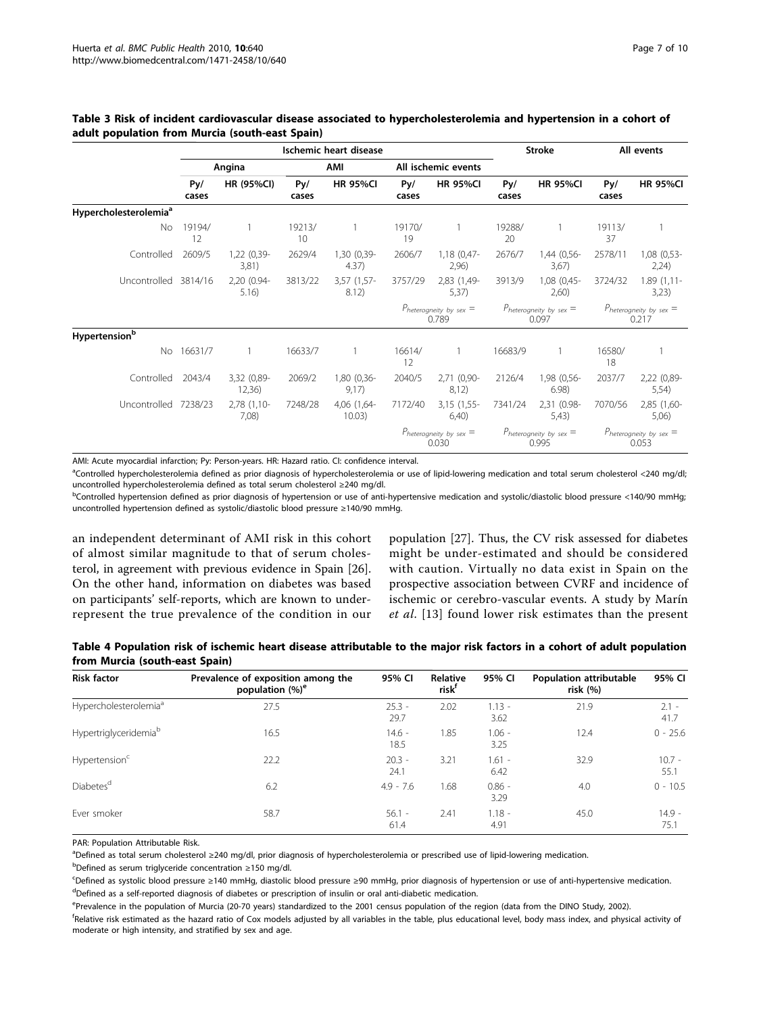|                                   |              | Ischemic heart disease |              |                       |                                       |                                       | <b>Stroke</b>                         |                                       | All events                              |                                       |
|-----------------------------------|--------------|------------------------|--------------|-----------------------|---------------------------------------|---------------------------------------|---------------------------------------|---------------------------------------|-----------------------------------------|---------------------------------------|
|                                   |              | Angina                 |              | AMI                   |                                       | All ischemic events                   |                                       |                                       |                                         |                                       |
|                                   | Py/<br>cases | <b>HR (95%CI)</b>      | Py/<br>cases | <b>HR 95%CI</b>       | Py/<br>cases                          | <b>HR 95%CI</b>                       | Py/<br>cases                          | <b>HR 95%CI</b>                       | Py/<br>cases                            | <b>HR 95%CI</b>                       |
| Hypercholesterolemia <sup>a</sup> |              |                        |              |                       |                                       |                                       |                                       |                                       |                                         |                                       |
| No                                | 19194/<br>12 |                        | 19213/<br>10 |                       | 19170/<br>19                          |                                       | 19288/<br>20                          |                                       | 19113/<br>37                            |                                       |
| Controlled                        | 2609/5       | 1,22 (0,39-<br>3,81)   | 2629/4       | 1,30 (0,39-<br>4.37)  | 2606/7                                | 1,18 (0,47-<br>2,96)                  | 2676/7                                | 1,44 (0,56-<br>3,67)                  | 2578/11                                 | 1,08 (0,53-<br>2,24)                  |
| Uncontrolled 3814/16              |              | 2,20 (0.94-<br>5.16)   | 3813/22      | 3,57 (1,57-<br>8.12)  | 3757/29                               | 2,83 (1,49-<br>5,37)                  | 3913/9                                | $1,08$ (0,45-<br>2,60)                | 3724/32                                 | $1.89(1,11-$<br>3,23)                 |
|                                   |              |                        |              |                       | $P_{heterogeneity by sex} =$<br>0.789 |                                       | $P_{heterogeneity by sex} =$<br>0.097 |                                       | $P_{heterogeneity}$ by sex $=$<br>0.217 |                                       |
| Hypertension <sup>b</sup>         |              |                        |              |                       |                                       |                                       |                                       |                                       |                                         |                                       |
| No                                | 16631/7      |                        | 16633/7      |                       | 16614/<br>12                          |                                       | 16683/9                               |                                       | 16580/<br>18                            |                                       |
| Controlled                        | 2043/4       | 3,32 (0,89-<br>12,36)  | 2069/2       | 1,80 (0,36-<br>9,17)  | 2040/5                                | $2,71$ (0,90-<br>8,12)                | 2126/4                                | 1,98 (0,56-<br>6.98)                  | 2037/7                                  | 2,22 (0,89-<br>5,54)                  |
| Uncontrolled 7238/23              |              | 2,78 (1,10-<br>7,08    | 7248/28      | 4,06 (1,64-<br>10.03) | 7172/40                               | $3,15$ (1,55-<br>6,40)                | 7341/24                               | 2,31 (0.98-<br>5,43)                  | 7070/56                                 | 2,85 (1,60-<br>5,06                   |
|                                   |              |                        |              |                       |                                       | $P_{heterogeneity by sex} =$<br>0.030 |                                       | $P_{heterogeneity by sex} =$<br>0.995 |                                         | $P_{heterogeneity by sex} =$<br>0.053 |

### <span id="page-6-0"></span>Table 3 Risk of incident cardiovascular disease associated to hypercholesterolemia and hypertension in a cohort of adult population from Murcia (south-east Spain)

AMI: Acute myocardial infarction; Py: Person-years. HR: Hazard ratio. CI: confidence interval.

<sup>a</sup>Controlled hypercholesterolemia defined as prior diagnosis of hypercholesterolemia or use of lipid-lowering medication and total serum cholesterol <240 mg/dl; uncontrolled hypercholesterolemia defined as total serum cholesterol ≥240 mg/dl.

bControlled hypertension defined as prior diagnosis of hypertension or use of anti-hypertensive medication and systolic/diastolic blood pressure <140/90 mmHg; uncontrolled hypertension defined as systolic/diastolic blood pressure ≥140/90 mmHg.

an independent determinant of AMI risk in this cohort of almost similar magnitude to that of serum cholesterol, in agreement with previous evidence in Spain [\[26](#page-8-0)]. On the other hand, information on diabetes was based on participants' self-reports, which are known to underrepresent the true prevalence of the condition in our

population [[27\]](#page-8-0). Thus, the CV risk assessed for diabetes might be under-estimated and should be considered with caution. Virtually no data exist in Spain on the prospective association between CVRF and incidence of ischemic or cerebro-vascular events. A study by Marín et al. [\[13\]](#page-8-0) found lower risk estimates than the present

Table 4 Population risk of ischemic heart disease attributable to the major risk factors in a cohort of adult population from Murcia (south-east Spain)

| <b>Risk factor</b>                | Prevalence of exposition among the<br>population $(\%)^e$ | 95% CI           | Relative<br>risk <sup>f</sup> | 95% CI           | Population attributable<br>risk (%) | 95% CI           |
|-----------------------------------|-----------------------------------------------------------|------------------|-------------------------------|------------------|-------------------------------------|------------------|
| Hypercholesterolemia <sup>a</sup> | 27.5                                                      | $25.3 -$<br>29.7 | 2.02                          | $1.13 -$<br>3.62 | 21.9                                | $2.1 -$<br>41.7  |
| Hypertriglyceridemia <sup>b</sup> | 16.5                                                      | $14.6 -$<br>18.5 | 1.85                          | $1.06 -$<br>3.25 | 12.4                                | $0 - 25.6$       |
| Hypertension <sup>c</sup>         | 22.2                                                      | $20.3 -$<br>24.1 | 3.21                          | $1.61 -$<br>6.42 | 32.9                                | $10.7 -$<br>55.1 |
| Diabetes <sup>d</sup>             | 6.2                                                       | $4.9 - 7.6$      | 1.68                          | $0.86 -$<br>3.29 | 4.0                                 | $0 - 10.5$       |
| Ever smoker                       | 58.7                                                      | $56.1 -$<br>61.4 | 2.41                          | $1.18 -$<br>4.91 | 45.0                                | $14.9 -$<br>75.1 |

PAR: Population Attributable Risk.

a<br>Pefined as total serum cholesterol ≥240 mg/dl, prior diagnosis of hypercholesterolemia or prescribed use of lipid-lowering medication.

b Defined as serum triglyceride concentration ≥150 mg/dl.

c Defined as systolic blood pressure ≥140 mmHg, diastolic blood pressure ≥90 mmHg, prior diagnosis of hypertension or use of anti-hypertensive medication. <sup>d</sup>Defined as a self-reported diagnosis of diabetes or prescription of insulin or oral anti-diabetic medication.

eprevalence in the population of Murcia (20-70 years) standardized to the 2001 census population of the region (data from the DINO Study, 2002).

,<br><sup>f</sup>Relative risk estimated as the hazard ratio of Cox models adjusted by all variables in the table, plus educational level, body mass index, and physical activity of moderate or high intensity, and stratified by sex and age.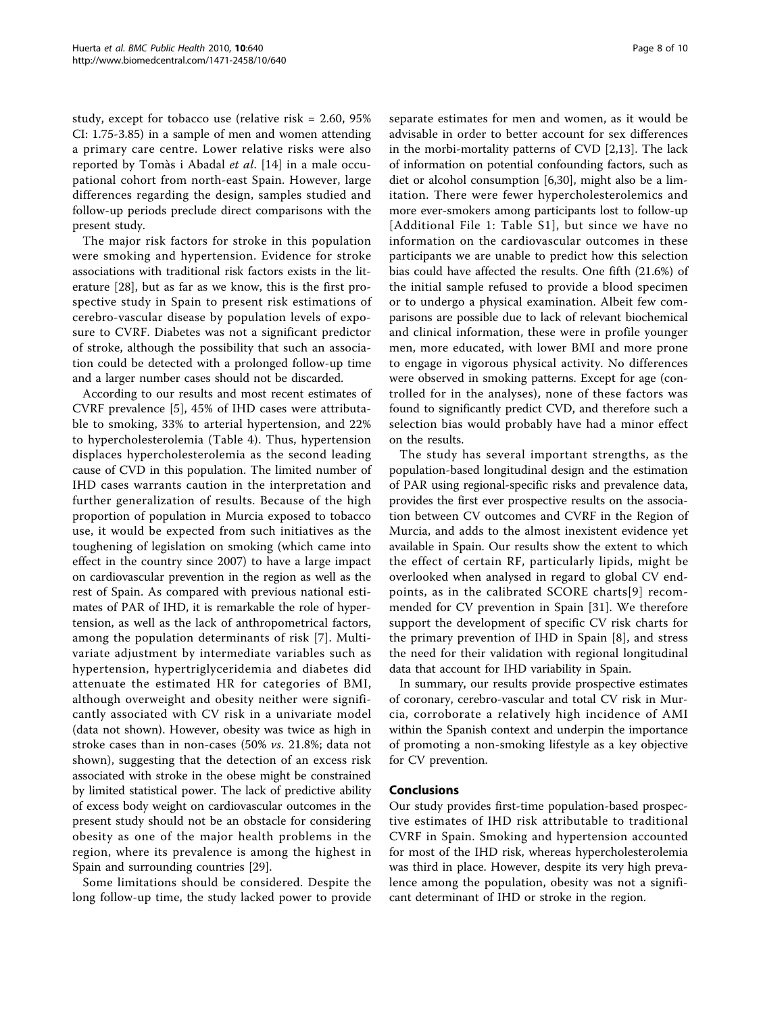study, except for tobacco use (relative risk = 2.60, 95% CI: 1.75-3.85) in a sample of men and women attending a primary care centre. Lower relative risks were also reported by Tomàs i Abadal et al. [[14\]](#page-8-0) in a male occupational cohort from north-east Spain. However, large differences regarding the design, samples studied and follow-up periods preclude direct comparisons with the present study.

The major risk factors for stroke in this population were smoking and hypertension. Evidence for stroke associations with traditional risk factors exists in the literature [[28\]](#page-9-0), but as far as we know, this is the first prospective study in Spain to present risk estimations of cerebro-vascular disease by population levels of exposure to CVRF. Diabetes was not a significant predictor of stroke, although the possibility that such an association could be detected with a prolonged follow-up time and a larger number cases should not be discarded.

According to our results and most recent estimates of CVRF prevalence [[5\]](#page-8-0), 45% of IHD cases were attributable to smoking, 33% to arterial hypertension, and 22% to hypercholesterolemia (Table [4\)](#page-6-0). Thus, hypertension displaces hypercholesterolemia as the second leading cause of CVD in this population. The limited number of IHD cases warrants caution in the interpretation and further generalization of results. Because of the high proportion of population in Murcia exposed to tobacco use, it would be expected from such initiatives as the toughening of legislation on smoking (which came into effect in the country since 2007) to have a large impact on cardiovascular prevention in the region as well as the rest of Spain. As compared with previous national estimates of PAR of IHD, it is remarkable the role of hypertension, as well as the lack of anthropometrical factors, among the population determinants of risk [[7](#page-8-0)]. Multivariate adjustment by intermediate variables such as hypertension, hypertriglyceridemia and diabetes did attenuate the estimated HR for categories of BMI, although overweight and obesity neither were significantly associated with CV risk in a univariate model (data not shown). However, obesity was twice as high in stroke cases than in non-cases (50% vs. 21.8%; data not shown), suggesting that the detection of an excess risk associated with stroke in the obese might be constrained by limited statistical power. The lack of predictive ability of excess body weight on cardiovascular outcomes in the present study should not be an obstacle for considering obesity as one of the major health problems in the region, where its prevalence is among the highest in Spain and surrounding countries [[29\]](#page-9-0).

Some limitations should be considered. Despite the long follow-up time, the study lacked power to provide separate estimates for men and women, as it would be advisable in order to better account for sex differences in the morbi-mortality patterns of CVD [[2,13\]](#page-8-0). The lack of information on potential confounding factors, such as diet or alcohol consumption [[6,](#page-8-0)[30\]](#page-9-0), might also be a limitation. There were fewer hypercholesterolemics and more ever-smokers among participants lost to follow-up [Additional File [1:](#page-8-0) Table S1], but since we have no information on the cardiovascular outcomes in these participants we are unable to predict how this selection bias could have affected the results. One fifth (21.6%) of the initial sample refused to provide a blood specimen or to undergo a physical examination. Albeit few comparisons are possible due to lack of relevant biochemical and clinical information, these were in profile younger men, more educated, with lower BMI and more prone to engage in vigorous physical activity. No differences were observed in smoking patterns. Except for age (controlled for in the analyses), none of these factors was found to significantly predict CVD, and therefore such a selection bias would probably have had a minor effect on the results.

The study has several important strengths, as the population-based longitudinal design and the estimation of PAR using regional-specific risks and prevalence data, provides the first ever prospective results on the association between CV outcomes and CVRF in the Region of Murcia, and adds to the almost inexistent evidence yet available in Spain. Our results show the extent to which the effect of certain RF, particularly lipids, might be overlooked when analysed in regard to global CV endpoints, as in the calibrated SCORE charts[[9](#page-8-0)] recommended for CV prevention in Spain [[31\]](#page-9-0). We therefore support the development of specific CV risk charts for the primary prevention of IHD in Spain [\[8](#page-8-0)], and stress the need for their validation with regional longitudinal data that account for IHD variability in Spain.

In summary, our results provide prospective estimates of coronary, cerebro-vascular and total CV risk in Murcia, corroborate a relatively high incidence of AMI within the Spanish context and underpin the importance of promoting a non-smoking lifestyle as a key objective for CV prevention.

#### Conclusions

Our study provides first-time population-based prospective estimates of IHD risk attributable to traditional CVRF in Spain. Smoking and hypertension accounted for most of the IHD risk, whereas hypercholesterolemia was third in place. However, despite its very high prevalence among the population, obesity was not a significant determinant of IHD or stroke in the region.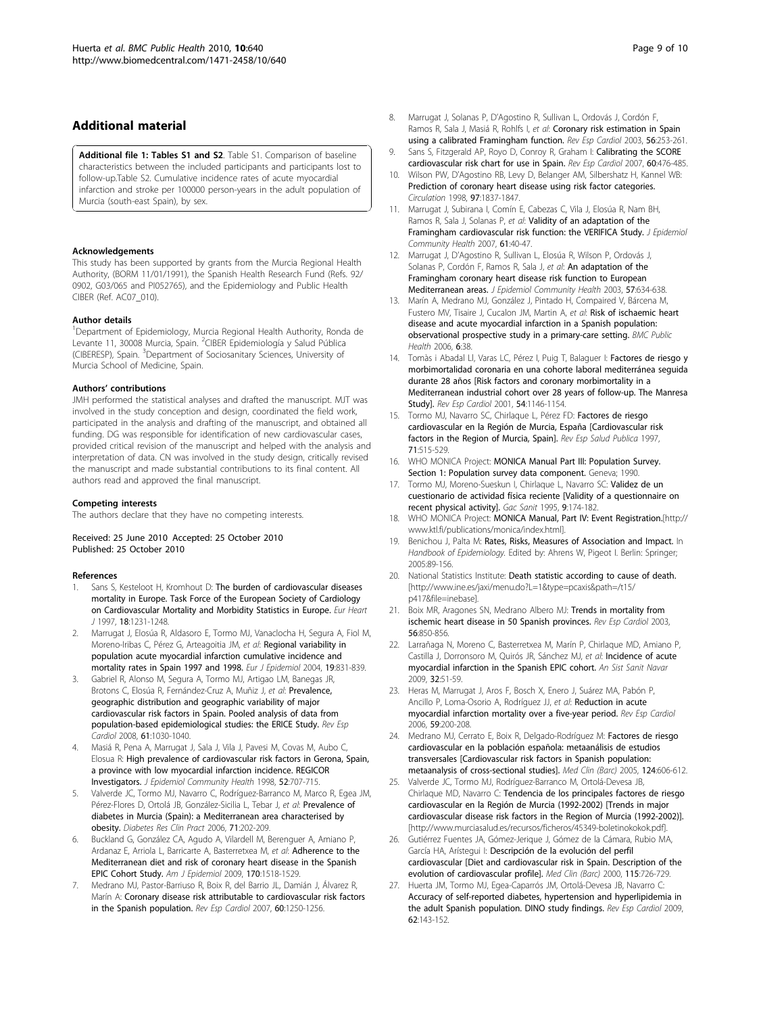## <span id="page-8-0"></span>Additional material

[Additional file 1: T](http://www.biomedcentral.com/content/supplementary/1471-2458-10-640-S1.DOC)ables S1 and S2. Table S1. Comparison of baseline characteristics between the included participants and participants lost to follow-up.Table S2. Cumulative incidence rates of acute myocardial infarction and stroke per 100000 person-years in the adult population of Murcia (south-east Spain), by sex.

#### Acknowledgements

This study has been supported by grants from the Murcia Regional Health Authority, (BORM 11/01/1991), the Spanish Health Research Fund (Refs. 92/ 0902, G03/065 and PI052765), and the Epidemiology and Public Health CIBER (Ref. AC07\_010).

#### Author details

<sup>1</sup>Department of Epidemiology, Murcia Regional Health Authority, Ronda de Levante 11, 30008 Murcia, Spain. <sup>2</sup>CIBER Epidemiología y Salud Pública (CIBERESP), Spain. <sup>3</sup>Department of Sociosanitary Sciences, University of Murcia School of Medicine, Spain.

#### Authors' contributions

JMH performed the statistical analyses and drafted the manuscript. MJT was involved in the study conception and design, coordinated the field work, participated in the analysis and drafting of the manuscript, and obtained all funding. DG was responsible for identification of new cardiovascular cases, provided critical revision of the manuscript and helped with the analysis and interpretation of data. CN was involved in the study design, critically revised the manuscript and made substantial contributions to its final content. All authors read and approved the final manuscript.

#### Competing interests

The authors declare that they have no competing interests.

Received: 25 June 2010 Accepted: 25 October 2010 Published: 25 October 2010

#### References

- Sans S, Kesteloot H, Kromhout D: The burden of cardiovascular diseases mortality in Europe. Task Force of the European Society of Cardiology on Cardiovascular Mortality and Morbidity Statistics in Europe. Eur Heart J 1997, 18:1231-1248.
- 2. Marrugat J, Elosúa R, Aldasoro E, Tormo MJ, Vanaclocha H, Segura A, Fiol M, Moreno-Iribas C, Pérez G, Arteagoitia JM, et al: [Regional variability in](http://www.ncbi.nlm.nih.gov/pubmed/15499893?dopt=Abstract) [population acute myocardial infarction cumulative incidence and](http://www.ncbi.nlm.nih.gov/pubmed/15499893?dopt=Abstract) [mortality rates in Spain 1997 and 1998.](http://www.ncbi.nlm.nih.gov/pubmed/15499893?dopt=Abstract) Eur J Epidemiol 2004, 19:831-839.
- 3. Gabriel R, Alonso M, Segura A, Tormo MJ, Artigao LM, Banegas JR, Brotons C, Elosúa R, Fernández-Cruz A, Muñiz J, et al: [Prevalence,](http://www.ncbi.nlm.nih.gov/pubmed/18817679?dopt=Abstract) [geographic distribution and geographic variability of major](http://www.ncbi.nlm.nih.gov/pubmed/18817679?dopt=Abstract) [cardiovascular risk factors in Spain. Pooled analysis of data from](http://www.ncbi.nlm.nih.gov/pubmed/18817679?dopt=Abstract) [population-based epidemiological studies: the ERICE Study.](http://www.ncbi.nlm.nih.gov/pubmed/18817679?dopt=Abstract) Rev Esp Cardiol 2008, 61:1030-1040.
- 4. Masiá R, Pena A, Marrugat J, Sala J, Vila J, Pavesi M, Covas M, Aubo C, Elosua R: [High prevalence of cardiovascular risk factors in Gerona, Spain,](http://www.ncbi.nlm.nih.gov/pubmed/10396503?dopt=Abstract) [a province with low myocardial infarction incidence. REGICOR](http://www.ncbi.nlm.nih.gov/pubmed/10396503?dopt=Abstract) [Investigators.](http://www.ncbi.nlm.nih.gov/pubmed/10396503?dopt=Abstract) J Epidemiol Community Health 1998, 52:707-715.
- Valverde JC, Tormo MJ, Navarro C, Rodríguez-Barranco M, Marco R, Egea JM, Pérez-Flores D, Ortolá JB, González-Sicilia L, Tebar J, et al: [Prevalence of](http://www.ncbi.nlm.nih.gov/pubmed/16107290?dopt=Abstract) [diabetes in Murcia \(Spain\): a Mediterranean area characterised by](http://www.ncbi.nlm.nih.gov/pubmed/16107290?dopt=Abstract) [obesity.](http://www.ncbi.nlm.nih.gov/pubmed/16107290?dopt=Abstract) Diabetes Res Clin Pract 2006, 71:202-209.
- 6. Buckland G, González CA, Agudo A, Vilardell M, Berenguer A, Amiano P, Ardanaz E, Arriola L, Barricarte A, Basterretxea M, et al: [Adherence to the](http://www.ncbi.nlm.nih.gov/pubmed/19903723?dopt=Abstract) [Mediterranean diet and risk of coronary heart disease in the Spanish](http://www.ncbi.nlm.nih.gov/pubmed/19903723?dopt=Abstract) [EPIC Cohort Study.](http://www.ncbi.nlm.nih.gov/pubmed/19903723?dopt=Abstract) Am J Epidemiol 2009, 170:1518-1529.
- 7. Medrano MJ, Pastor-Barriuso R, Boix R, del Barrio JL, Damián J, Álvarez R, Marín A: [Coronary disease risk attributable to cardiovascular risk factors](http://www.ncbi.nlm.nih.gov/pubmed/18082090?dopt=Abstract) [in the Spanish population.](http://www.ncbi.nlm.nih.gov/pubmed/18082090?dopt=Abstract) Rev Esp Cardiol 2007, 60:1250-1256.
- 8. Marrugat J, Solanas P, D'Agostino R, Sullivan L, Ordovás J, Cordón F, Ramos R, Sala J, Masiá R, Rohlfs I, et al: [Coronary risk estimation in Spain](http://www.ncbi.nlm.nih.gov/pubmed/12622955?dopt=Abstract) [using a calibrated Framingham function.](http://www.ncbi.nlm.nih.gov/pubmed/12622955?dopt=Abstract) Rev Esp Cardiol 2003, 56:253-261.
- 9. Sans S, Fitzgerald AP, Royo D, Conroy R, Graham I: [Calibrating the SCORE](http://www.ncbi.nlm.nih.gov/pubmed/17535758?dopt=Abstract) [cardiovascular risk chart for use in Spain.](http://www.ncbi.nlm.nih.gov/pubmed/17535758?dopt=Abstract) Rev Esp Cardiol 2007, 60:476-485.
- 10. Wilson PW, D'Agostino RB, Levy D, Belanger AM, Silbershatz H, Kannel WB: [Prediction of coronary heart disease using risk factor categories.](http://www.ncbi.nlm.nih.gov/pubmed/9603539?dopt=Abstract) Circulation 1998, 97:1837-1847.
- 11. Marrugat J, Subirana I, Comín E, Cabezas C, Vila J, Elosúa R, Nam BH, Ramos R, Sala J, Solanas P, et al: [Validity of an adaptation of the](http://www.ncbi.nlm.nih.gov/pubmed/17183014?dopt=Abstract) [Framingham cardiovascular risk function: the VERIFICA Study.](http://www.ncbi.nlm.nih.gov/pubmed/17183014?dopt=Abstract) J Epidemiol Community Health 2007, 61:40-47.
- 12. Marrugat J, D'Agostino R, Sullivan L, Elosúa R, Wilson P, Ordovás J, Solanas P, Cordón F, Ramos R, Sala J, et al: [An adaptation of the](http://www.ncbi.nlm.nih.gov/pubmed/12883073?dopt=Abstract) [Framingham coronary heart disease risk function to European](http://www.ncbi.nlm.nih.gov/pubmed/12883073?dopt=Abstract) [Mediterranean areas.](http://www.ncbi.nlm.nih.gov/pubmed/12883073?dopt=Abstract) J Epidemiol Community Health 2003, 57:634-638.
- 13. Marín A, Medrano MJ, González J, Pintado H, Compaired V, Bárcena M, Fustero MV, Tisaire J, Cucalon JM, Martin A, et al: [Risk of ischaemic heart](http://www.ncbi.nlm.nih.gov/pubmed/16503965?dopt=Abstract) [disease and acute myocardial infarction in a Spanish population:](http://www.ncbi.nlm.nih.gov/pubmed/16503965?dopt=Abstract) [observational prospective study in a primary-care setting.](http://www.ncbi.nlm.nih.gov/pubmed/16503965?dopt=Abstract) BMC Public Health 2006, 6:38.
- 14. Tomàs i Abadal Ll, Varas LC, Pérez I, Puig T, Balaguer I: [Factores de riesgo y](http://www.ncbi.nlm.nih.gov/pubmed/11591294?dopt=Abstract) [morbimortalidad coronaria en una cohorte laboral mediterránea seguida](http://www.ncbi.nlm.nih.gov/pubmed/11591294?dopt=Abstract) [durante 28 años \[Risk factors and coronary morbimortality in a](http://www.ncbi.nlm.nih.gov/pubmed/11591294?dopt=Abstract) [Mediterranean industrial cohort over 28 years of follow-up. The Manresa](http://www.ncbi.nlm.nih.gov/pubmed/11591294?dopt=Abstract) [Study\].](http://www.ncbi.nlm.nih.gov/pubmed/11591294?dopt=Abstract) Rev Esp Cardiol 2001, 54:1146-1154.
- 15. Tormo MJ, Navarro SC, Chirlaque L, Pérez FD: [Factores de riesgo](http://www.ncbi.nlm.nih.gov/pubmed/9477707?dopt=Abstract) [cardiovascular en la Región de Murcia, España \[Cardiovascular risk](http://www.ncbi.nlm.nih.gov/pubmed/9477707?dopt=Abstract) [factors in the Region of Murcia, Spain\].](http://www.ncbi.nlm.nih.gov/pubmed/9477707?dopt=Abstract) Rev Esp Salud Publica 1997, 71:515-529.
- 16. WHO MONICA Project: MONICA Manual Part III: Population Survey. Section 1: Population survey data component. Geneva; 1990.
- 17. Tormo MJ, Moreno-Sueskun I, Chirlaque L, Navarro SC: [Validez de un](http://www.ncbi.nlm.nih.gov/pubmed/7558630?dopt=Abstract) [cuestionario de actividad física reciente \[Validity of a questionnaire on](http://www.ncbi.nlm.nih.gov/pubmed/7558630?dopt=Abstract) [recent physical activity\].](http://www.ncbi.nlm.nih.gov/pubmed/7558630?dopt=Abstract) Gac Sanit 1995, 9:174-182.
- 18. WHO MONICA Project: MONICA Manual, Part IV: Event Registration.[[http://](http://www.ktl.fi/publications/monica/index.html) [www.ktl.fi/publications/monica/index.html\]](http://www.ktl.fi/publications/monica/index.html).
- 19. Benichou J, Palta M: Rates, Risks, Measures of Association and Impact. In Handbook of Epidemiology. Edited by: Ahrens W, Pigeot I. Berlin: Springer; 2005:89-156.
- 20. National Statistics Institute: Death statistic according to cause of death. [[http://www.ine.es/jaxi/menu.do?L=1&type=pcaxis&path=/t15/](http://www.ine.es/jaxi/menu.do?L=1&type=pcaxis&path=/t15/p417&file=inebase) [p417&file=inebase\]](http://www.ine.es/jaxi/menu.do?L=1&type=pcaxis&path=/t15/p417&file=inebase).
- 21. Boix MR, Aragones SN, Medrano Albero MJ: [Trends in mortality from](http://www.ncbi.nlm.nih.gov/pubmed/14519271?dopt=Abstract) [ischemic heart disease in 50 Spanish provinces.](http://www.ncbi.nlm.nih.gov/pubmed/14519271?dopt=Abstract) Rev Esp Cardiol 2003, 56:850-856.
- 22. Larrañaga N, Moreno C, Basterretxea M, Marín P, Chirlaque MD, Amiano P, Castilla J, Dorronsoro M, Quirós JR, Sánchez MJ, et al: [Incidence of acute](http://www.ncbi.nlm.nih.gov/pubmed/19430511?dopt=Abstract) [myocardial infarction in the Spanish EPIC cohort.](http://www.ncbi.nlm.nih.gov/pubmed/19430511?dopt=Abstract) An Sist Sanit Navar 2009, 32:51-59.
- 23. Heras M, Marrugat J, Aros F, Bosch X, Enero J, Suárez MA, Pabón P, Ancillo P, Loma-Osorio A, Rodríguez JJ, et al: [Reduction in acute](http://www.ncbi.nlm.nih.gov/pubmed/16712743?dopt=Abstract) [myocardial infarction mortality over a five-year period.](http://www.ncbi.nlm.nih.gov/pubmed/16712743?dopt=Abstract) Rev Esp Cardiol 2006, 59:200-208.
- 24. Medrano MJ, Cerrato E, Boix R, Delgado-Rodríguez M: [Factores de riesgo](http://www.ncbi.nlm.nih.gov/pubmed/15871776?dopt=Abstract) [cardiovascular en la población española: metaanálisis de estudios](http://www.ncbi.nlm.nih.gov/pubmed/15871776?dopt=Abstract) [transversales \[Cardiovascular risk factors in Spanish population:](http://www.ncbi.nlm.nih.gov/pubmed/15871776?dopt=Abstract) [metaanalysis of cross-sectional studies\].](http://www.ncbi.nlm.nih.gov/pubmed/15871776?dopt=Abstract) Med Clin (Barc) 2005, 124:606-612.
- 25. Valverde JC, Tormo MJ, Rodríguez-Barranco M, Ortolá-Devesa JB, Chirlaque MD, Navarro C: Tendencia de los principales factores de riesgo cardiovascular en la Región de Murcia (1992-2002) [Trends in major cardiovascular disease risk factors in the Region of Murcia (1992-2002)]. [[http://www.murciasalud.es/recursos/ficheros/45349-boletinokokok.pdf\]](http://www.murciasalud.es/recursos/ficheros/45349-boletinokokok.pdf).
- 26. Gutiérrez Fuentes JA, Gómez-Jerique J, Gómez de la Cámara, Rubio MA, García HA, Arístegui I: [Descripción de la evolución del perfil](http://www.ncbi.nlm.nih.gov/pubmed/11141438?dopt=Abstract) [cardiovascular \[Diet and cardiovascular risk in Spain. Description of the](http://www.ncbi.nlm.nih.gov/pubmed/11141438?dopt=Abstract) [evolution of cardiovascular profile\].](http://www.ncbi.nlm.nih.gov/pubmed/11141438?dopt=Abstract) Med Clin (Barc) 2000, 115:726-729.
- 27. Huerta JM, Tormo MJ, Egea-Caparrós JM, Ortolá-Devesa JB, Navarro C: [Accuracy of self-reported diabetes, hypertension and hyperlipidemia in](http://www.ncbi.nlm.nih.gov/pubmed/19232187?dopt=Abstract) [the adult Spanish population. DINO study findings.](http://www.ncbi.nlm.nih.gov/pubmed/19232187?dopt=Abstract) Rev Esp Cardiol 2009, 62:143-152.